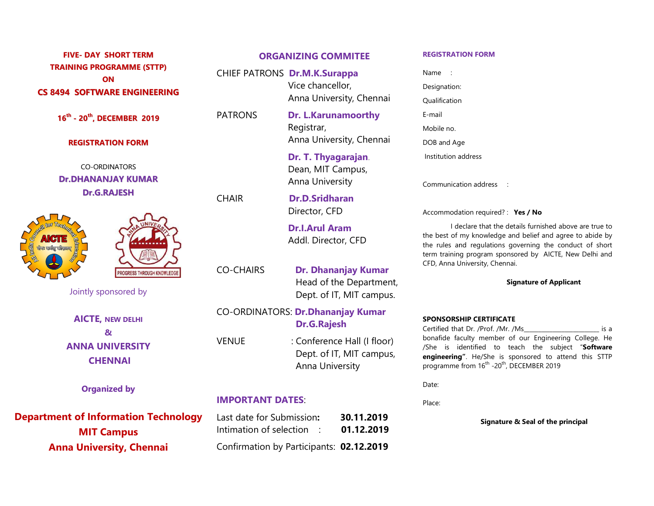## TRAINING PROGRAMME (STTP) CS 8494 SOFTWARE ENGINEERING

16<sup>th</sup> - 20<sup>th</sup>, DECEMBER 2019 FATRONS Dr. L.

#### REGISTRATION FORM

CO-ORDINATORS Dr.DHANANJAY KUMAR Dr.G.RAJESH



PROGRESS THROUGH KNOWLEDG

Jointly sponsored by

AICTE, NEW DELHI **& b** and **c b** and **c d c c c c** ANNA UNIVERSITY **CHENNAI** 

Organized by

Department of Information Technology MIT Campus Anna University, Chennai

### FIVE- DAY SHORT TERM ORGANIZING COMMITEE

ON SALES STATES STATES STATES STATES STATES STATES STATES STATES STATES STATES STATES STATES STATES STATES STATES STATES STATES STATES STATES STATES STATES STATES STATES STATES STATES STATES STATES STATES STATES STATES STA CHIEF PATRONS **Dr.M.K.Surappa** Mame Name is  $\mathcal{L}(\mathcal{L})$  and  $\mathcal{L}(\mathcal{L})$ Vice chancellor,

Anna University, Chennai Qualification<br>PATRONS **Dr. L.Karunamoorthy** E-mail **Experience of the Experience** PATRONS Dr. L.Karunamoorthy Registrar, Anna University, Chennai

> Dr. T. Thyagarajan. Dean, MIT Campus, Anna University

Anna U<br>CHAIR **Dr.D.S** Dr.D.Sridharan Director, CFD

**Dr.I.Arul Ar<br>Addl. Direct<br>CO-CHAIRS Dr. Dhana** Dr.I.Arul Aram

Head of the Department,

### Dept. of IT, MIT campus.<br>CO-ORDINATORS: **Dr.Dhananjay Kumar** Dr.G.Rajesh

**Dr.G.Rajesh Exertified that I**<br>VENUE : Conference Hall (I floor) bonafide facul<br>Dept. of IT, MIT campus, presenting intervals : Conference Hall (I floor) Anna University

#### IMPORTANT DATES :

Last date for Submission: 30.11.2019 Intimation of selection  $\therefore$  01.12.2019 Confirmat Confirmation by Participants: 02.12.2019

#### REGISTRATION FORM FORM

Name : Designation: Qualification E-mail Mobile no. DOB and Age Institution address Name :<br>Designation:<br>Qualification E-mail<br>Mobile no.<br>DOB and Age<br>Institution address<br>Communication address

Communication address :

Accommodation required? : Yes / No

Addl. Director, CFD<br>the rules and regulat<br>EFD, Anna University, CHAIRS **Dr. Dhananjay Kumar** I declare that the details furnished above are true to I declare that the details furnished above are true to<br>the best of my knowledge and belief and agree to abide by the rules and regulations governing the conduct of short term training program sponsored by AICTE, New Delhi and CFD, Anna University, Chennai.

#### Signature of Applicant

# SPONSORSHIP CERTIFICATE

Certified that Dr. /Prof. /Mr. /Ms\_\_\_\_\_\_\_\_\_\_\_\_\_\_\_\_\_\_\_\_\_\_\_\_\_\_ is a bonafide faculty member of our Engineering College. He bonafide faculty member of our Engineering College. He<br>/She is identified to teach the subject "**Software engineering"**. He/She is sponsored to attend this STTP programme from 16<sup>th</sup> -20<sup>th</sup>, DECEMBER 2019

Date:

Place: **Example 2018** 

Signature & Seal of the principal